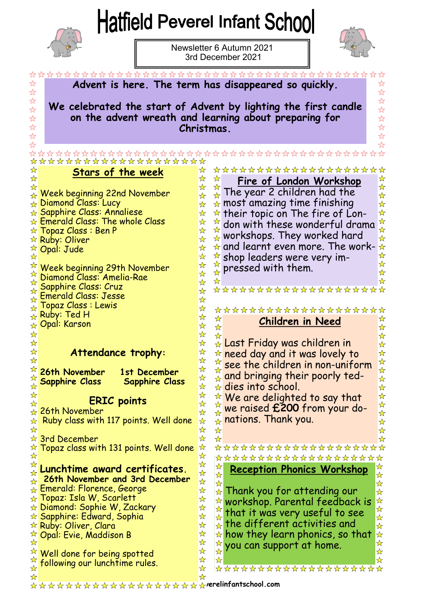## **Hatfield Peverel Infant School**



Newsletter 6 Autumn 2021 3rd December 2021